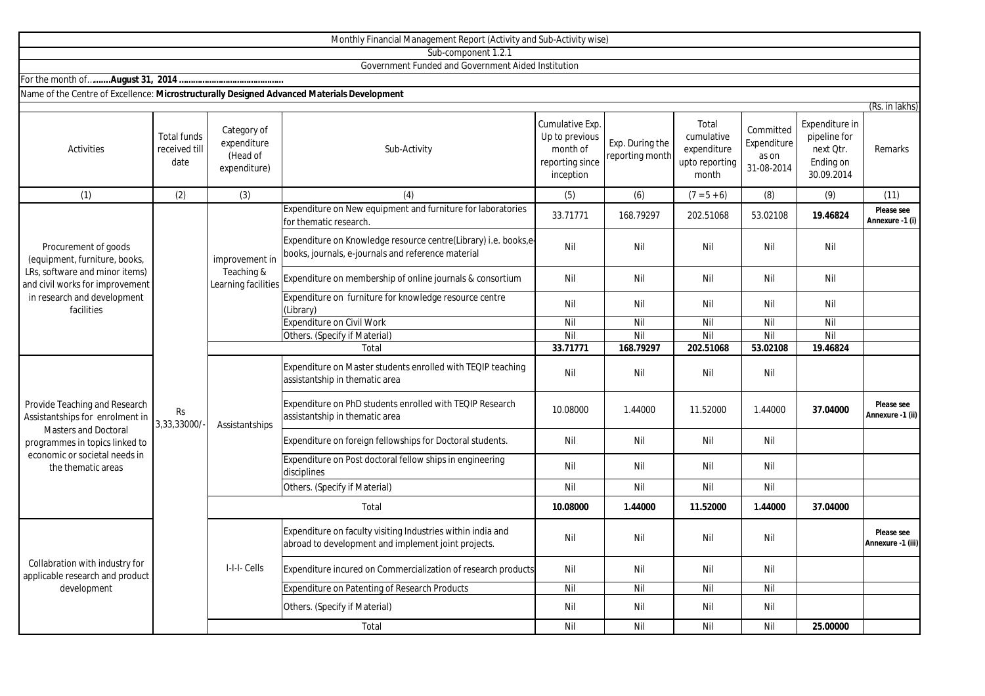|                                                                                                                                                                                          |                                             |                                                        | Monthly Financial Management Report (Activity and Sub-Activity wise)                                                  |                                                                               |                                    |                                                               |                                                 |                                                                        |                                 |
|------------------------------------------------------------------------------------------------------------------------------------------------------------------------------------------|---------------------------------------------|--------------------------------------------------------|-----------------------------------------------------------------------------------------------------------------------|-------------------------------------------------------------------------------|------------------------------------|---------------------------------------------------------------|-------------------------------------------------|------------------------------------------------------------------------|---------------------------------|
|                                                                                                                                                                                          |                                             |                                                        | Sub-component 1.2.1                                                                                                   |                                                                               |                                    |                                                               |                                                 |                                                                        |                                 |
|                                                                                                                                                                                          |                                             |                                                        | Government Funded and Government Aided Institution                                                                    |                                                                               |                                    |                                                               |                                                 |                                                                        |                                 |
|                                                                                                                                                                                          |                                             |                                                        |                                                                                                                       |                                                                               |                                    |                                                               |                                                 |                                                                        |                                 |
| Name of the Centre of Excellence: Microstructurally Designed Advanced Materials Development                                                                                              |                                             |                                                        |                                                                                                                       |                                                                               |                                    |                                                               |                                                 |                                                                        |                                 |
|                                                                                                                                                                                          |                                             |                                                        |                                                                                                                       |                                                                               |                                    |                                                               |                                                 |                                                                        | (Rs. in lakhs)                  |
| Activities                                                                                                                                                                               | <b>Total funds</b><br>received till<br>date | Category of<br>expenditure<br>(Head of<br>expenditure) | Sub-Activity                                                                                                          | Cumulative Exp.<br>Up to previous<br>month of<br>reporting since<br>inception | Exp. During the<br>reporting month | Total<br>cumulative<br>expenditure<br>upto reporting<br>month | Committed<br>Expenditure<br>as on<br>31-08-2014 | Expenditure in<br>pipeline for<br>next Qtr.<br>Ending on<br>30.09.2014 | <b>Remarks</b>                  |
| (1)                                                                                                                                                                                      | (2)                                         | (3)                                                    | (4)                                                                                                                   | (5)                                                                           | (6)                                | $(7 - 5 + 6)$                                                 | (8)                                             | (9)                                                                    | (11)                            |
| Procurement of goods<br>(equipment, furniture, books,<br>LRs, software and minor items)<br>and civil works for improvement<br>in research and development<br>facilities                  | <b>Rs</b><br>3,33,33000/                    | improvement in<br>Teaching &<br>Learning facilities    | Expenditure on New equipment and furniture for laboratories<br>for thematic research.                                 | 33.71771                                                                      | 168.79297                          | 202.51068                                                     | 53.02108                                        | 19.46824                                                               | Please see<br>Annexure -1 (i)   |
|                                                                                                                                                                                          |                                             |                                                        | Expenditure on Knowledge resource centre(Library) i.e. books,e-<br>books, journals, e-journals and reference material | Nil                                                                           | Nil                                | Nil                                                           | Nil                                             | Nil                                                                    |                                 |
|                                                                                                                                                                                          |                                             |                                                        | Expenditure on membership of online journals & consortium                                                             | Nil                                                                           | Nil                                | Nil                                                           | Nil                                             | Nil                                                                    |                                 |
|                                                                                                                                                                                          |                                             |                                                        | Expenditure on furniture for knowledge resource centre<br>(Library)                                                   | Nil                                                                           | Nil                                | Nil                                                           | Nil                                             | Nil                                                                    |                                 |
|                                                                                                                                                                                          |                                             |                                                        | Expenditure on Civil Work                                                                                             | Nil                                                                           | Nil                                | Nil                                                           | Nil                                             | Nil                                                                    |                                 |
|                                                                                                                                                                                          |                                             |                                                        | Others. (Specify if Material)                                                                                         | Nil                                                                           | Nil                                | Nil                                                           | Nil                                             | Nil                                                                    |                                 |
|                                                                                                                                                                                          |                                             |                                                        | Total                                                                                                                 | 33.71771                                                                      | 168.79297                          | 202.51068                                                     | 53.02108                                        | 19.46824                                                               |                                 |
| Provide Teaching and Research<br>Assistantships for enrolment in<br><b>Masters and Doctoral</b><br>programmes in topics linked to<br>economic or societal needs in<br>the thematic areas |                                             | Assistantships                                         | Expenditure on Master students enrolled with TEQIP teaching<br>assistantship in thematic area                         | Nil                                                                           | Nil                                | Nil                                                           | Nil                                             |                                                                        |                                 |
|                                                                                                                                                                                          |                                             |                                                        | Expenditure on PhD students enrolled with TEQIP Research<br>assistantship in thematic area                            | 10.08000                                                                      | 1.44000                            | 11.52000                                                      | 1.44000                                         | 37.04000                                                               | Please see<br>Annexure -1 (ii)  |
|                                                                                                                                                                                          |                                             |                                                        | Expenditure on foreign fellowships for Doctoral students.                                                             | Nil                                                                           | Nil                                | Nil                                                           | Nil                                             |                                                                        |                                 |
|                                                                                                                                                                                          |                                             |                                                        | Expenditure on Post doctoral fellow ships in engineering<br>disciplines                                               | Nil                                                                           | Nil                                | Nil                                                           | Nil                                             |                                                                        |                                 |
|                                                                                                                                                                                          |                                             |                                                        | Others. (Specify if Material)                                                                                         | Nil                                                                           | Nil                                | Nil                                                           | Nil                                             |                                                                        |                                 |
|                                                                                                                                                                                          |                                             | Total                                                  |                                                                                                                       | 10.08000                                                                      | 1.44000                            | 11.52000                                                      | 1.44000                                         | 37.04000                                                               |                                 |
| Collabration with industry for<br>applicable research and product<br>development                                                                                                         |                                             | I-I-I- Cells                                           | Expenditure on faculty visiting Industries within india and<br>abroad to development and implement joint projects.    | Nil                                                                           | Nil                                | Nil                                                           | Nil                                             |                                                                        | Please see<br>Annexure -1 (iii) |
|                                                                                                                                                                                          |                                             |                                                        | Expenditure incured on Commercialization of research products                                                         | Nil                                                                           | Nil                                | Nil                                                           | Nil                                             |                                                                        |                                 |
|                                                                                                                                                                                          |                                             |                                                        | Expenditure on Patenting of Research Products                                                                         | Nil                                                                           | Nil                                | Nil                                                           | Nil                                             |                                                                        |                                 |
|                                                                                                                                                                                          |                                             |                                                        | Others. (Specify if Material)                                                                                         | Nil                                                                           | Nil                                | Nil                                                           | Nil                                             |                                                                        |                                 |

Total

Nil Nil Nil Nil **25.00000**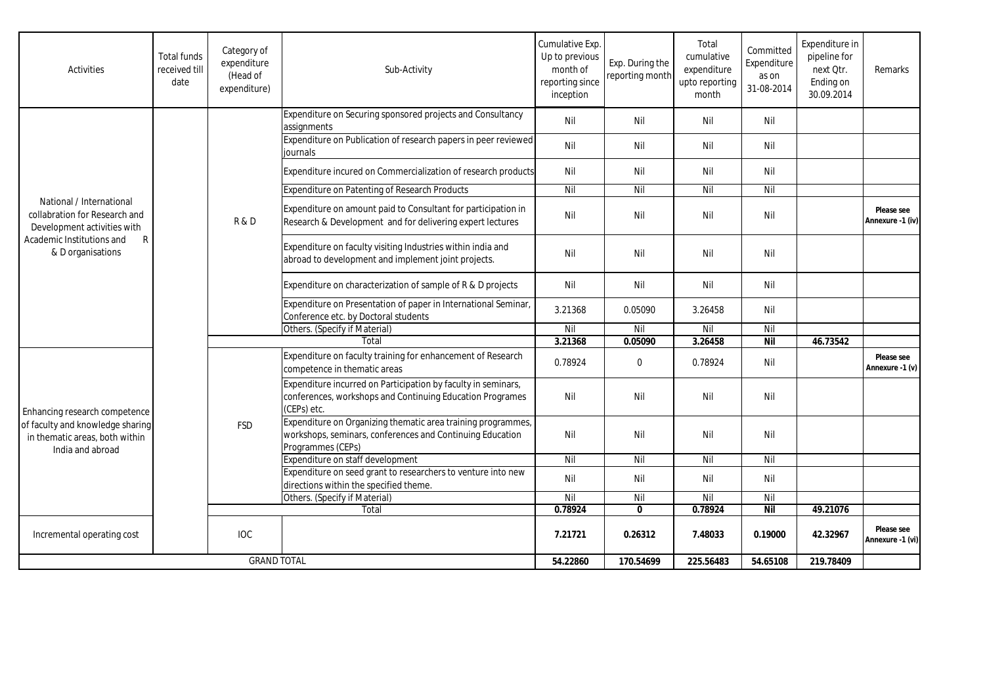| Activities                                                                                                                                                 | <b>Total funds</b><br>received till<br>date | Category of<br>expenditure<br>(Head of<br>expenditure) | Sub-Activity                                                                                                                                   | Cumulative Exp.<br>Up to previous<br>month of<br>reporting since<br>inception | Exp. During the<br>reporting month | Total<br>cumulative<br>expenditure<br>upto reporting<br>month | Committed<br>Expenditure<br>as on<br>31-08-2014 | Expenditure in<br>pipeline for<br>next Qtr.<br>Ending on<br>30.09.2014 | Remarks                        |
|------------------------------------------------------------------------------------------------------------------------------------------------------------|---------------------------------------------|--------------------------------------------------------|------------------------------------------------------------------------------------------------------------------------------------------------|-------------------------------------------------------------------------------|------------------------------------|---------------------------------------------------------------|-------------------------------------------------|------------------------------------------------------------------------|--------------------------------|
| National / International<br>collabration for Research and<br>Development activities with<br>Academic Institutions and<br>$\mathsf{R}$<br>& D organisations |                                             | R&D                                                    | Expenditure on Securing sponsored projects and Consultancy<br>assignments                                                                      | Nil                                                                           | Nil                                | Nil                                                           | Nil                                             |                                                                        |                                |
|                                                                                                                                                            |                                             |                                                        | Expenditure on Publication of research papers in peer reviewed<br>iournals                                                                     | Nil                                                                           | Nil                                | Nil                                                           | Nil                                             |                                                                        |                                |
|                                                                                                                                                            |                                             |                                                        | Expenditure incured on Commercialization of research products                                                                                  | Nil                                                                           | Nil                                | Nil                                                           | Nil                                             |                                                                        |                                |
|                                                                                                                                                            |                                             |                                                        | Expenditure on Patenting of Research Products                                                                                                  | Nil                                                                           | Nil                                | Nil                                                           | Nil                                             |                                                                        |                                |
|                                                                                                                                                            |                                             |                                                        | Expenditure on amount paid to Consultant for participation in<br>Research & Development and for delivering expert lectures                     | Nil                                                                           | Nil                                | Nil                                                           | Nil                                             |                                                                        | Please see<br>Annexure -1 (iv) |
|                                                                                                                                                            |                                             |                                                        | Expenditure on faculty visiting Industries within india and<br>abroad to development and implement joint projects.                             | Nil                                                                           | Nil                                | Nil                                                           | Nil                                             |                                                                        |                                |
|                                                                                                                                                            |                                             |                                                        | Expenditure on characterization of sample of R & D projects                                                                                    | Nil                                                                           | Nil                                | Nil                                                           | Nil                                             |                                                                        |                                |
|                                                                                                                                                            |                                             |                                                        | Expenditure on Presentation of paper in International Seminar,<br>Conference etc. by Doctoral students                                         | 3.21368                                                                       | 0.05090                            | 3.26458                                                       | Nil                                             |                                                                        |                                |
|                                                                                                                                                            |                                             |                                                        | Others. (Specify if Material)                                                                                                                  | Nil                                                                           | Nil                                | Nil                                                           | Nil                                             |                                                                        |                                |
|                                                                                                                                                            |                                             | Total                                                  |                                                                                                                                                | 3.21368                                                                       | 0.05090                            | 3.26458                                                       | <b>Nil</b>                                      | 46.73542                                                               |                                |
| Enhancing research competence<br>of faculty and knowledge sharing<br>in thematic areas, both within<br>India and abroad                                    |                                             | <b>FSD</b>                                             | Expenditure on faculty training for enhancement of Research<br>competence in thematic areas                                                    | 0.78924                                                                       | $\mathbf 0$                        | 0.78924                                                       | Nil                                             |                                                                        | Please see<br>Annexure -1 (v)  |
|                                                                                                                                                            |                                             |                                                        | Expenditure incurred on Participation by faculty in seminars,<br>conferences, workshops and Continuing Education Programes<br>(CEPs) etc.      | Nil                                                                           | Nil                                | Nil                                                           | Nil                                             |                                                                        |                                |
|                                                                                                                                                            |                                             |                                                        | Expenditure on Organizing thematic area training programmes,<br>workshops, seminars, conferences and Continuing Education<br>Programmes (CEPs) | Nil                                                                           | Nil                                | Nil                                                           | Nil                                             |                                                                        |                                |
|                                                                                                                                                            |                                             |                                                        | Expenditure on staff development                                                                                                               | Nil                                                                           | Nil                                | Nil                                                           | Nil                                             |                                                                        |                                |
|                                                                                                                                                            |                                             |                                                        | Expenditure on seed grant to researchers to venture into new<br>directions within the specified theme.                                         | Nil                                                                           | Nil                                | Nil                                                           | Nil                                             |                                                                        |                                |
|                                                                                                                                                            |                                             |                                                        | Others. (Specify if Material)                                                                                                                  | Nil                                                                           | Nil                                | Nil                                                           | Nil                                             |                                                                        |                                |
|                                                                                                                                                            |                                             |                                                        | Total                                                                                                                                          | 0.78924                                                                       | $\mathbf{0}$                       | 0.78924                                                       | <b>Nil</b>                                      | 49.21076                                                               |                                |
| Incremental operating cost                                                                                                                                 |                                             | <b>IOC</b>                                             |                                                                                                                                                | 7.21721                                                                       | 0.26312                            | 7.48033                                                       | 0.19000                                         | 42.32967                                                               | Please see<br>Annexure -1 (vi) |
| <b>GRAND TOTAL</b>                                                                                                                                         |                                             |                                                        | 54.22860                                                                                                                                       | 170.54699                                                                     | 225.56483                          | 54.65108                                                      | 219.78409                                       |                                                                        |                                |